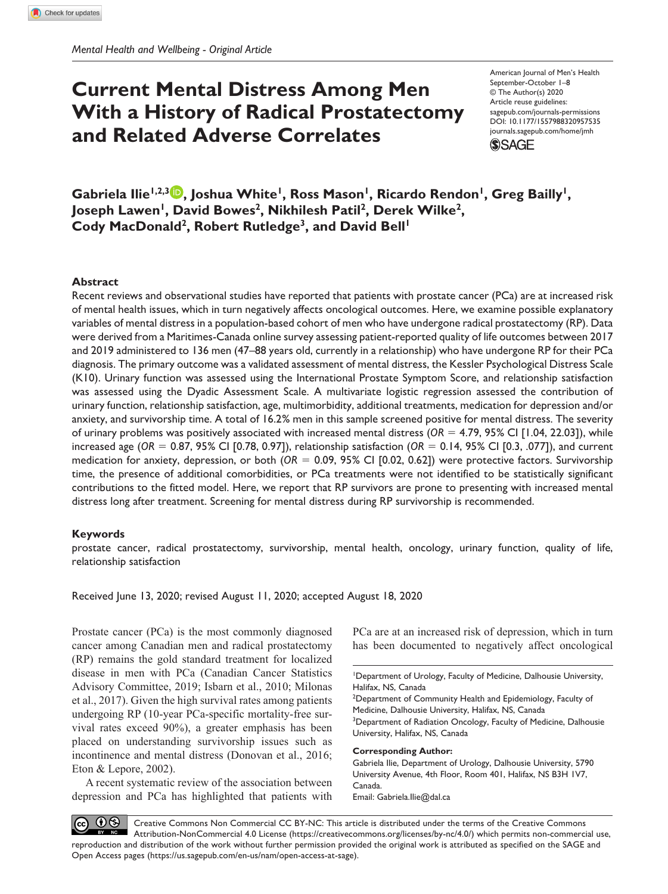# **Current Mental Distress Among Men With a History of Radical Prostatectomy and Related Adverse Correlates**

American Journal of Men's Health September-October 1–8 © The Author(s) 2020 Article reuse guidelines: [sagepub.com/journals-permissions](https://us.sagepub.com/en-us/journals-permissions) DOI: 10.1177/1557988320957535 [journals.sagepub.com/home/jmh](http://journals.sagepub.com/home/jmh) **SSAGE** 

Gabriela Ilie<sup>1,2,3</sup> D, Joshua White<sup>1</sup>, Ross Mason<sup>1</sup>, Ricardo Rendon<sup>1</sup>, Greg Bailly<sup>1</sup>, Joseph Lawen<sup>1</sup>, David Bowes<sup>2</sup>, Nikhilesh Patil<sup>2</sup>, Derek Wilke<sup>2</sup>, Cody MacDonald<sup>2</sup>, Robert Rutledge<sup>3</sup>, and David Bell<sup>1</sup>

#### **Abstract**

Recent reviews and observational studies have reported that patients with prostate cancer (PCa) are at increased risk of mental health issues, which in turn negatively affects oncological outcomes. Here, we examine possible explanatory variables of mental distress in a population-based cohort of men who have undergone radical prostatectomy (RP). Data were derived from a Maritimes-Canada online survey assessing patient-reported quality of life outcomes between 2017 and 2019 administered to 136 men (47–88 years old, currently in a relationship) who have undergone RP for their PCa diagnosis. The primary outcome was a validated assessment of mental distress, the Kessler Psychological Distress Scale (K10). Urinary function was assessed using the International Prostate Symptom Score, and relationship satisfaction was assessed using the Dyadic Assessment Scale. A multivariate logistic regression assessed the contribution of urinary function, relationship satisfaction, age, multimorbidity, additional treatments, medication for depression and/or anxiety, and survivorship time. A total of 16.2% men in this sample screened positive for mental distress. The severity of urinary problems was positively associated with increased mental distress ( $OR = 4.79$ ,  $95\%$  CI [1.04, 22.03]), while increased age (*OR* = 0.87, 95% CI [0.78, 0.97]), relationship satisfaction (*OR* = 0.14, 95% CI [0.3, .077]), and current medication for anxiety, depression, or both (*OR* = 0.09, 95% CI [0.02, 0.62]) were protective factors. Survivorship time, the presence of additional comorbidities, or PCa treatments were not identified to be statistically significant contributions to the fitted model. Here, we report that RP survivors are prone to presenting with increased mental distress long after treatment. Screening for mental distress during RP survivorship is recommended.

#### **Keywords**

prostate cancer, radical prostatectomy, survivorship, mental health, oncology, urinary function, quality of life, relationship satisfaction

Received June 13, 2020; revised August 11, 2020; accepted August 18, 2020

Prostate cancer (PCa) is the most commonly diagnosed cancer among Canadian men and radical prostatectomy (RP) remains the gold standard treatment for localized disease in men with PCa (Canadian Cancer Statistics Advisory Committee, 2019; Isbarn et al., 2010; Milonas et al., 2017). Given the high survival rates among patients undergoing RP (10-year PCa-specific mortality-free survival rates exceed 90%), a greater emphasis has been placed on understanding survivorship issues such as incontinence and mental distress (Donovan et al., 2016; Eton & Lepore, 2002).

A recent systematic review of the association between depression and PCa has highlighted that patients with PCa are at an increased risk of depression, which in turn has been documented to negatively affect oncological

<sup>2</sup>Department of Community Health and Epidemiology, Faculty of Medicine, Dalhousie University, Halifax, NS, Canada <sup>3</sup>Department of Radiation Oncology, Faculty of Medicine, Dalhousie University, Halifax, NS, Canada

#### **Corresponding Author:**

Gabriela Ilie, Department of Urology, Dalhousie University, 5790 University Avenue, 4th Floor, Room 401, Halifax, NS B3H 1V7, Canada. Email: [Gabriela.Ilie@dal.ca](mailto:Gabriela.Ilie@dal.ca)

 $\bigcirc$ Creative Commons Non Commercial CC BY-NC: This article is distributed under the terms of the Creative Commons Attribution-NonCommercial 4.0 License (https://creativecommons.org/licenses/by-nc/4.0/) which permits non-commercial use, reproduction and distribution of the work without further permission provided the original work is attributed as specified on the SAGE and Open Access pages (https://us.sagepub.com/en-us/nam/open-access-at-sage).

<sup>1</sup> Department of Urology, Faculty of Medicine, Dalhousie University, Halifax, NS, Canada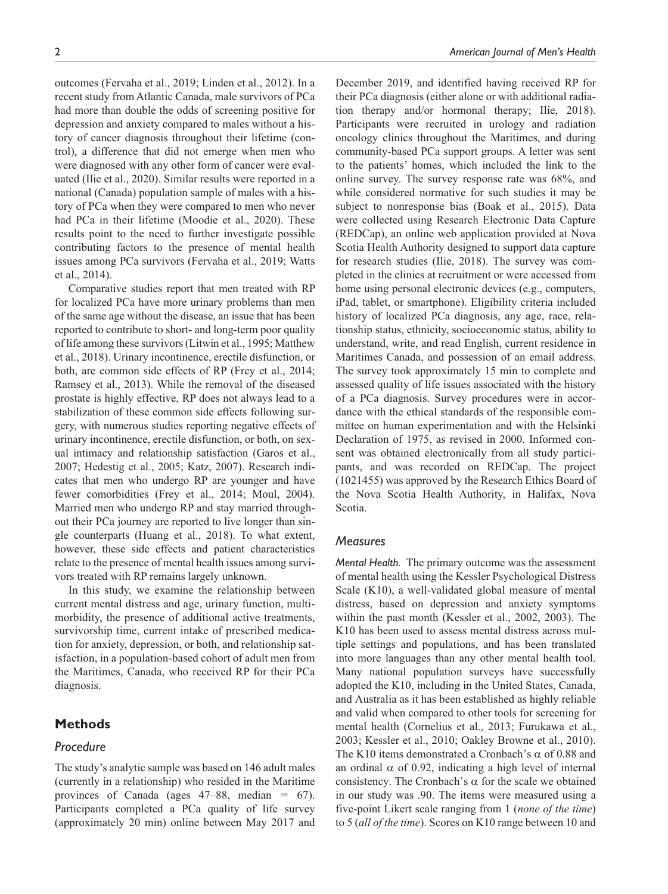outcomes (Fervaha et al., 2019; Linden et al., 2012). In a recent study from Atlantic Canada, male survivors of PCa had more than double the odds of screening positive for depression and anxiety compared to males without a history of cancer diagnosis throughout their lifetime (control), a difference that did not emerge when men who were diagnosed with any other form of cancer were evaluated (Ilie et al., 2020). Similar results were reported in a national (Canada) population sample of males with a history of PCa when they were compared to men who never had PCa in their lifetime (Moodie et al., 2020). These results point to the need to further investigate possible contributing factors to the presence of mental health issues among PCa survivors (Fervaha et al., 2019; Watts et al., 2014).

Comparative studies report that men treated with RP for localized PCa have more urinary problems than men of the same age without the disease, an issue that has been reported to contribute to short- and long-term poor quality of life among these survivors (Litwin et al., 1995; Matthew et al., 2018). Urinary incontinence, erectile disfunction, or both, are common side effects of RP (Frey et al., 2014; Ramsey et al., 2013). While the removal of the diseased prostate is highly effective, RP does not always lead to a stabilization of these common side effects following surgery, with numerous studies reporting negative effects of urinary incontinence, erectile disfunction, or both, on sexual intimacy and relationship satisfaction (Garos et al., 2007; Hedestig et al., 2005; Katz, 2007). Research indicates that men who undergo RP are younger and have fewer comorbidities (Frey et al., 2014; Moul, 2004). Married men who undergo RP and stay married throughout their PCa journey are reported to live longer than single counterparts (Huang et al., 2018). To what extent, however, these side effects and patient characteristics relate to the presence of mental health issues among survivors treated with RP remains largely unknown.

In this study, we examine the relationship between current mental distress and age, urinary function, multimorbidity, the presence of additional active treatments, survivorship time, current intake of prescribed medication for anxiety, depression, or both, and relationship satisfaction, in a population-based cohort of adult men from the Maritimes, Canada, who received RP for their PCa diagnosis.

## **Methods**

## *Procedure*

The study's analytic sample was based on 146 adult males (currently in a relationship) who resided in the Maritime provinces of Canada (ages 47–88, median = 67). Participants completed a PCa quality of life survey (approximately 20 min) online between May 2017 and December 2019, and identified having received RP for their PCa diagnosis (either alone or with additional radiation therapy and/or hormonal therapy; Ilie, 2018). Participants were recruited in urology and radiation oncology clinics throughout the Maritimes, and during community-based PCa support groups. A letter was sent to the patients' homes, which included the link to the online survey. The survey response rate was 68%, and while considered normative for such studies it may be subject to nonresponse bias (Boak et al., 2015). Data were collected using Research Electronic Data Capture (REDCap), an online web application provided at Nova Scotia Health Authority designed to support data capture for research studies (Ilie, 2018). The survey was completed in the clinics at recruitment or were accessed from home using personal electronic devices (e.g., computers, iPad, tablet, or smartphone). Eligibility criteria included history of localized PCa diagnosis, any age, race, relationship status, ethnicity, socioeconomic status, ability to understand, write, and read English, current residence in Maritimes Canada, and possession of an email address. The survey took approximately 15 min to complete and assessed quality of life issues associated with the history of a PCa diagnosis. Survey procedures were in accordance with the ethical standards of the responsible committee on human experimentation and with the Helsinki Declaration of 1975, as revised in 2000. Informed consent was obtained electronically from all study participants, and was recorded on REDCap. The project (1021455) was approved by the Research Ethics Board of the Nova Scotia Health Authority, in Halifax, Nova Scotia.

#### *Measures*

*Mental Health.* The primary outcome was the assessment of mental health using the Kessler Psychological Distress Scale (K10), a well-validated global measure of mental distress, based on depression and anxiety symptoms within the past month (Kessler et al., 2002, 2003). The K10 has been used to assess mental distress across multiple settings and populations, and has been translated into more languages than any other mental health tool. Many national population surveys have successfully adopted the K10, including in the United States, Canada, and Australia as it has been established as highly reliable and valid when compared to other tools for screening for mental health (Cornelius et al., 2013; Furukawa et al., 2003; Kessler et al., 2010; Oakley Browne et al., 2010). The K10 items demonstrated a Cronbach's  $\alpha$  of 0.88 and an ordinal  $\alpha$  of 0.92, indicating a high level of internal consistency. The Cronbach's  $\alpha$  for the scale we obtained in our study was .90. The items were measured using a five-point Likert scale ranging from 1 (*none of the time*) to 5 (*all of the time*). Scores on K10 range between 10 and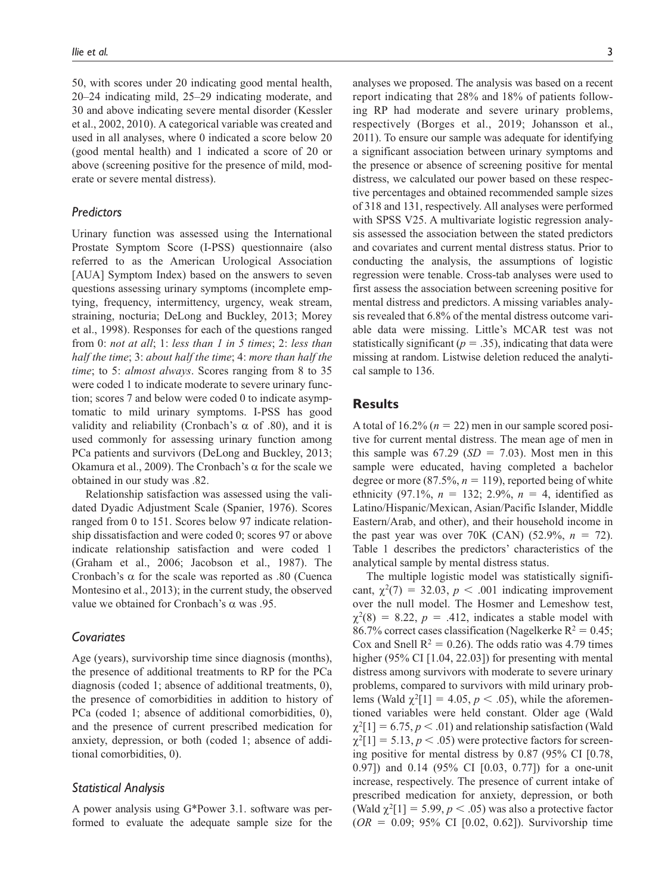50, with scores under 20 indicating good mental health, 20–24 indicating mild, 25–29 indicating moderate, and 30 and above indicating severe mental disorder (Kessler et al., 2002, 2010). A categorical variable was created and used in all analyses, where 0 indicated a score below 20 (good mental health) and 1 indicated a score of 20 or above (screening positive for the presence of mild, moderate or severe mental distress).

## *Predictors*

Urinary function was assessed using the International Prostate Symptom Score (I-PSS) questionnaire (also referred to as the American Urological Association [AUA] Symptom Index) based on the answers to seven questions assessing urinary symptoms (incomplete emptying, frequency, intermittency, urgency, weak stream, straining, nocturia; DeLong and Buckley, 2013; Morey et al., 1998). Responses for each of the questions ranged from 0: *not at all*; 1: *less than 1 in 5 times*; 2: *less than half the time*; 3: *about half the time*; 4: *more than half the time*; to 5: *almost always*. Scores ranging from 8 to 35 were coded 1 to indicate moderate to severe urinary function; scores 7 and below were coded 0 to indicate asymptomatic to mild urinary symptoms. I-PSS has good validity and reliability (Cronbach's  $\alpha$  of .80), and it is used commonly for assessing urinary function among PCa patients and survivors (DeLong and Buckley, 2013; Okamura et al., 2009). The Cronbach's  $\alpha$  for the scale we obtained in our study was .82.

Relationship satisfaction was assessed using the validated Dyadic Adjustment Scale (Spanier, 1976). Scores ranged from 0 to 151. Scores below 97 indicate relationship dissatisfaction and were coded 0; scores 97 or above indicate relationship satisfaction and were coded 1 (Graham et al., 2006; Jacobson et al., 1987). The Cronbach's  $\alpha$  for the scale was reported as .80 (Cuenca Montesino et al., 2013); in the current study, the observed value we obtained for Cronbach's α was .95.

#### *Covariates*

Age (years), survivorship time since diagnosis (months), the presence of additional treatments to RP for the PCa diagnosis (coded 1; absence of additional treatments, 0), the presence of comorbidities in addition to history of PCa (coded 1; absence of additional comorbidities, 0), and the presence of current prescribed medication for anxiety, depression, or both (coded 1; absence of additional comorbidities, 0).

#### *Statistical Analysis*

A power analysis using G\*Power 3.1. software was performed to evaluate the adequate sample size for the analyses we proposed. The analysis was based on a recent report indicating that 28% and 18% of patients following RP had moderate and severe urinary problems, respectively (Borges et al., 2019; Johansson et al., 2011). To ensure our sample was adequate for identifying a significant association between urinary symptoms and the presence or absence of screening positive for mental distress, we calculated our power based on these respective percentages and obtained recommended sample sizes of 318 and 131, respectively. All analyses were performed with SPSS V25. A multivariate logistic regression analysis assessed the association between the stated predictors and covariates and current mental distress status. Prior to conducting the analysis, the assumptions of logistic regression were tenable. Cross-tab analyses were used to first assess the association between screening positive for mental distress and predictors. A missing variables analysis revealed that 6.8% of the mental distress outcome variable data were missing. Little's MCAR test was not statistically significant ( $p = .35$ ), indicating that data were missing at random. Listwise deletion reduced the analytical sample to 136.

#### **Results**

A total of  $16.2\%$  ( $n = 22$ ) men in our sample scored positive for current mental distress. The mean age of men in this sample was  $67.29$  (*SD* = 7.03). Most men in this sample were educated, having completed a bachelor degree or more (87.5%,  $n = 119$ ), reported being of white ethnicity (97.1%,  $n = 132$ ; 2.9%,  $n = 4$ , identified as Latino/Hispanic/Mexican, Asian/Pacific Islander, Middle Eastern/Arab, and other), and their household income in the past year was over 70K (CAN)  $(52.9\%, n = 72)$ . Table 1 describes the predictors' characteristics of the analytical sample by mental distress status.

The multiple logistic model was statistically significant,  $\chi^2(7) = 32.03$ ,  $p < .001$  indicating improvement over the null model. The Hosmer and Lemeshow test,  $\chi^2(8) = 8.22$ ,  $p = .412$ , indicates a stable model with 86.7% correct cases classification (Nagelkerke  $R^2 = 0.45$ ; Cox and Snell  $R^2 = 0.26$ ). The odds ratio was 4.79 times higher (95% CI [1.04, 22.03]) for presenting with mental distress among survivors with moderate to severe urinary problems, compared to survivors with mild urinary problems (Wald  $\chi^2[1] = 4.05, p < .05$ ), while the aforementioned variables were held constant. Older age (Wald  $\chi^2[1] = 6.75, p < .01$ ) and relationship satisfaction (Wald  $\chi^2[1] = 5.13, p < .05$ ) were protective factors for screening positive for mental distress by 0.87 (95% CI [0.78, 0.97]) and 0.14 (95% CI [0.03, 0.77]) for a one-unit increase, respectively. The presence of current intake of prescribed medication for anxiety, depression, or both (Wald  $\chi^2[1] = 5.99, p < .05$ ) was also a protective factor (*OR* = 0.09; 95% CI [0.02, 0.62]). Survivorship time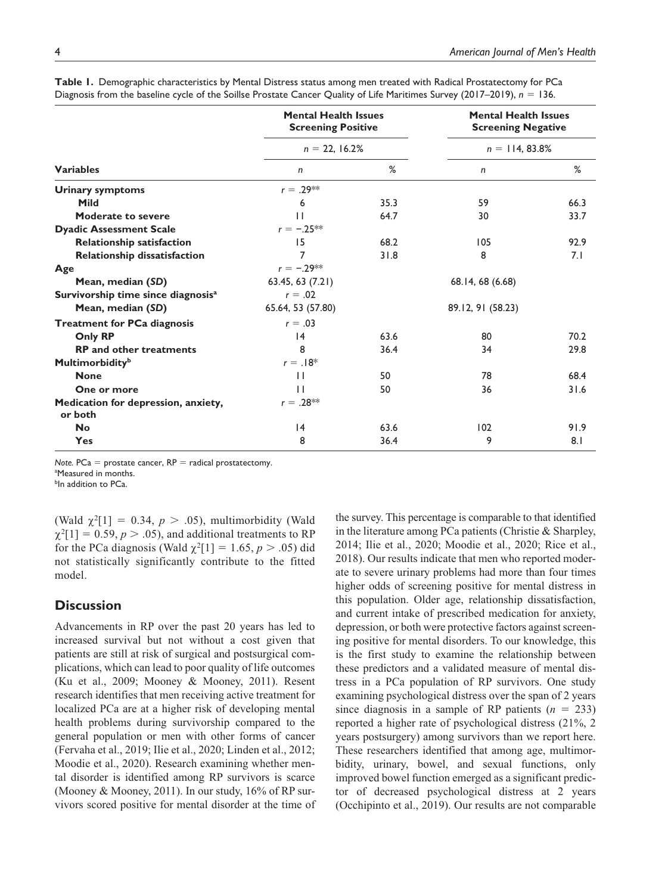|                                                | <b>Mental Health Issues</b><br><b>Screening Positive</b> |      | <b>Mental Health Issues</b><br><b>Screening Negative</b><br>$n = 114, 83.8\%$ |      |  |
|------------------------------------------------|----------------------------------------------------------|------|-------------------------------------------------------------------------------|------|--|
|                                                | $n = 22, 16.2%$                                          |      |                                                                               |      |  |
| <b>Variables</b>                               | n                                                        | %    | n                                                                             | %    |  |
| <b>Urinary symptoms</b>                        | $r = .29**$                                              |      |                                                                               |      |  |
| <b>Mild</b>                                    | 6                                                        | 35.3 | 59                                                                            | 66.3 |  |
| <b>Moderate to severe</b>                      | $\mathbf{1}$                                             | 64.7 | 30                                                                            | 33.7 |  |
| <b>Dyadic Assessment Scale</b>                 | $r = -.25***$                                            |      |                                                                               |      |  |
| <b>Relationship satisfaction</b>               | 15                                                       | 68.2 | 105                                                                           | 92.9 |  |
| Relationship dissatisfaction                   | $\overline{7}$                                           | 31.8 | 8                                                                             | 7.1  |  |
| Age                                            | $r = -.29**$                                             |      |                                                                               |      |  |
| Mean, median (SD)                              | 63.45, 63 (7.21)                                         |      | 68.14, 68 (6.68)                                                              |      |  |
| Survivorship time since diagnosis <sup>a</sup> | $r = .02$                                                |      |                                                                               |      |  |
| Mean, median (SD)                              | 65.64, 53 (57.80)                                        |      | 89.12, 91 (58.23)                                                             |      |  |
| <b>Treatment for PCa diagnosis</b>             | $r = .03$                                                |      |                                                                               |      |  |
| <b>Only RP</b>                                 | 4                                                        | 63.6 | 80                                                                            | 70.2 |  |
| <b>RP</b> and other treatments                 | 8                                                        | 36.4 | 34                                                                            | 29.8 |  |
| <b>Multimorbidity</b> <sup>b</sup>             | $r = .18*$                                               |      |                                                                               |      |  |
| <b>None</b>                                    | $\mathbf{H}$                                             | 50   | 78                                                                            | 68.4 |  |
| One or more                                    | Ш                                                        | 50   | 36                                                                            | 31.6 |  |
| Medication for depression, anxiety,<br>or both | $r = .28**$                                              |      |                                                                               |      |  |
| <b>No</b>                                      | 4                                                        | 63.6 | 102                                                                           | 91.9 |  |
| Yes                                            | 8                                                        | 36.4 | 9                                                                             | 8.1  |  |

| Table 1. Demographic characteristics by Mental Distress status among men treated with Radical Prostatectomy for PCa        |  |  |  |
|----------------------------------------------------------------------------------------------------------------------------|--|--|--|
| Diagnosis from the baseline cycle of the Soillse Prostate Cancer Quality of Life Maritimes Survey (2017–2019), $n = 136$ . |  |  |  |

*Note.*  $PCa =$  prostate cancer,  $RP =$  radical prostatectomy. <sup>a</sup>Measured in months.

bln addition to PCa.

(Wald  $\chi^2[1] = 0.34$ ,  $p > .05$ ), multimorbidity (Wald  $\chi^2[1] = 0.59, p > .05$ , and additional treatments to RP for the PCa diagnosis (Wald  $\chi^2[1] = 1.65$ ,  $p > .05$ ) did not statistically significantly contribute to the fitted model.

# **Discussion**

Advancements in RP over the past 20 years has led to increased survival but not without a cost given that patients are still at risk of surgical and postsurgical complications, which can lead to poor quality of life outcomes (Ku et al., 2009; Mooney & Mooney, 2011). Resent research identifies that men receiving active treatment for localized PCa are at a higher risk of developing mental health problems during survivorship compared to the general population or men with other forms of cancer (Fervaha et al., 2019; Ilie et al., 2020; Linden et al., 2012; Moodie et al., 2020). Research examining whether mental disorder is identified among RP survivors is scarce (Mooney & Mooney, 2011). In our study, 16% of RP survivors scored positive for mental disorder at the time of the survey. This percentage is comparable to that identified in the literature among PCa patients (Christie & Sharpley, 2014; Ilie et al., 2020; Moodie et al., 2020; Rice et al., 2018). Our results indicate that men who reported moderate to severe urinary problems had more than four times higher odds of screening positive for mental distress in this population. Older age, relationship dissatisfaction, and current intake of prescribed medication for anxiety, depression, or both were protective factors against screening positive for mental disorders. To our knowledge, this is the first study to examine the relationship between these predictors and a validated measure of mental distress in a PCa population of RP survivors. One study examining psychological distress over the span of 2 years since diagnosis in a sample of RP patients  $(n = 233)$ reported a higher rate of psychological distress (21%, 2 years postsurgery) among survivors than we report here. These researchers identified that among age, multimorbidity, urinary, bowel, and sexual functions, only improved bowel function emerged as a significant predictor of decreased psychological distress at 2 years (Occhipinto et al., 2019). Our results are not comparable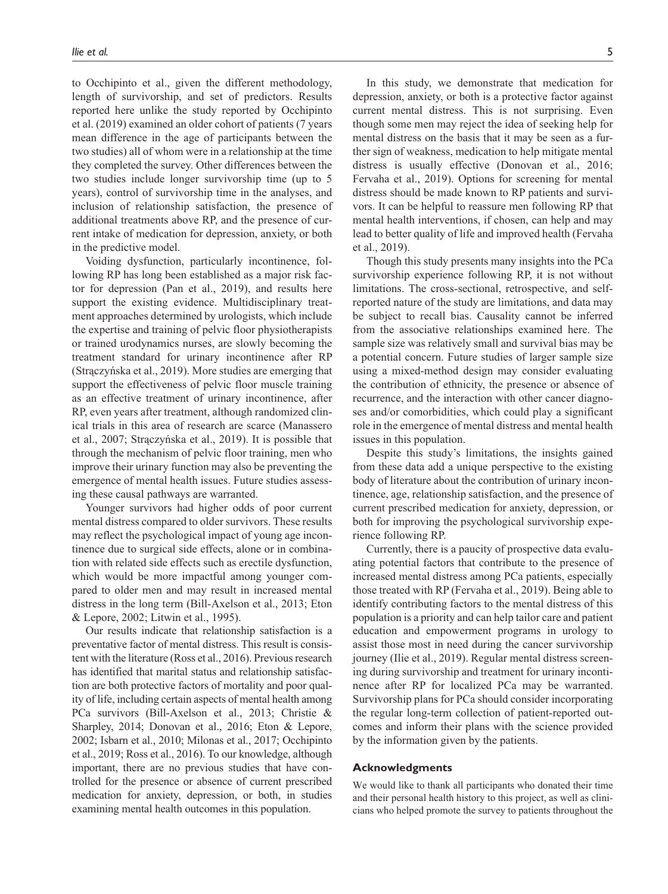to Occhipinto et al., given the different methodology, length of survivorship, and set of predictors. Results reported here unlike the study reported by Occhipinto et al. (2019) examined an older cohort of patients (7 years mean difference in the age of participants between the two studies) all of whom were in a relationship at the time they completed the survey. Other differences between the two studies include longer survivorship time (up to 5 years), control of survivorship time in the analyses, and inclusion of relationship satisfaction, the presence of additional treatments above RP, and the presence of current intake of medication for depression, anxiety, or both in the predictive model.

Voiding dysfunction, particularly incontinence, following RP has long been established as a major risk factor for depression (Pan et al., 2019), and results here support the existing evidence. Multidisciplinary treatment approaches determined by urologists, which include the expertise and training of pelvic floor physiotherapists or trained urodynamics nurses, are slowly becoming the treatment standard for urinary incontinence after RP (Strączyńska et al., 2019). More studies are emerging that support the effectiveness of pelvic floor muscle training as an effective treatment of urinary incontinence, after RP, even years after treatment, although randomized clinical trials in this area of research are scarce (Manassero et al., 2007; Strączyńska et al., 2019). It is possible that through the mechanism of pelvic floor training, men who improve their urinary function may also be preventing the emergence of mental health issues. Future studies assessing these causal pathways are warranted.

Younger survivors had higher odds of poor current mental distress compared to older survivors. These results may reflect the psychological impact of young age incontinence due to surgical side effects, alone or in combination with related side effects such as erectile dysfunction, which would be more impactful among younger compared to older men and may result in increased mental distress in the long term (Bill-Axelson et al., 2013; Eton & Lepore, 2002; Litwin et al., 1995).

Our results indicate that relationship satisfaction is a preventative factor of mental distress. This result is consistent with the literature (Ross et al., 2016). Previous research has identified that marital status and relationship satisfaction are both protective factors of mortality and poor quality of life, including certain aspects of mental health among PCa survivors (Bill-Axelson et al., 2013; Christie & Sharpley, 2014; Donovan et al., 2016; Eton & Lepore, 2002; Isbarn et al., 2010; Milonas et al., 2017; Occhipinto et al., 2019; Ross et al., 2016). To our knowledge, although important, there are no previous studies that have controlled for the presence or absence of current prescribed medication for anxiety, depression, or both, in studies examining mental health outcomes in this population.

In this study, we demonstrate that medication for depression, anxiety, or both is a protective factor against current mental distress. This is not surprising. Even though some men may reject the idea of seeking help for mental distress on the basis that it may be seen as a further sign of weakness, medication to help mitigate mental distress is usually effective (Donovan et al., 2016; Fervaha et al., 2019). Options for screening for mental distress should be made known to RP patients and survivors. It can be helpful to reassure men following RP that mental health interventions, if chosen, can help and may lead to better quality of life and improved health (Fervaha et al., 2019).

Though this study presents many insights into the PCa survivorship experience following RP, it is not without limitations. The cross-sectional, retrospective, and selfreported nature of the study are limitations, and data may be subject to recall bias. Causality cannot be inferred from the associative relationships examined here. The sample size was relatively small and survival bias may be a potential concern. Future studies of larger sample size using a mixed-method design may consider evaluating the contribution of ethnicity, the presence or absence of recurrence, and the interaction with other cancer diagnoses and/or comorbidities, which could play a significant role in the emergence of mental distress and mental health issues in this population.

Despite this study's limitations, the insights gained from these data add a unique perspective to the existing body of literature about the contribution of urinary incontinence, age, relationship satisfaction, and the presence of current prescribed medication for anxiety, depression, or both for improving the psychological survivorship experience following RP.

Currently, there is a paucity of prospective data evaluating potential factors that contribute to the presence of increased mental distress among PCa patients, especially those treated with RP (Fervaha et al., 2019). Being able to identify contributing factors to the mental distress of this population is a priority and can help tailor care and patient education and empowerment programs in urology to assist those most in need during the cancer survivorship journey (Ilie et al., 2019). Regular mental distress screening during survivorship and treatment for urinary incontinence after RP for localized PCa may be warranted. Survivorship plans for PCa should consider incorporating the regular long-term collection of patient-reported outcomes and inform their plans with the science provided by the information given by the patients.

#### **Acknowledgments**

We would like to thank all participants who donated their time and their personal health history to this project, as well as clinicians who helped promote the survey to patients throughout the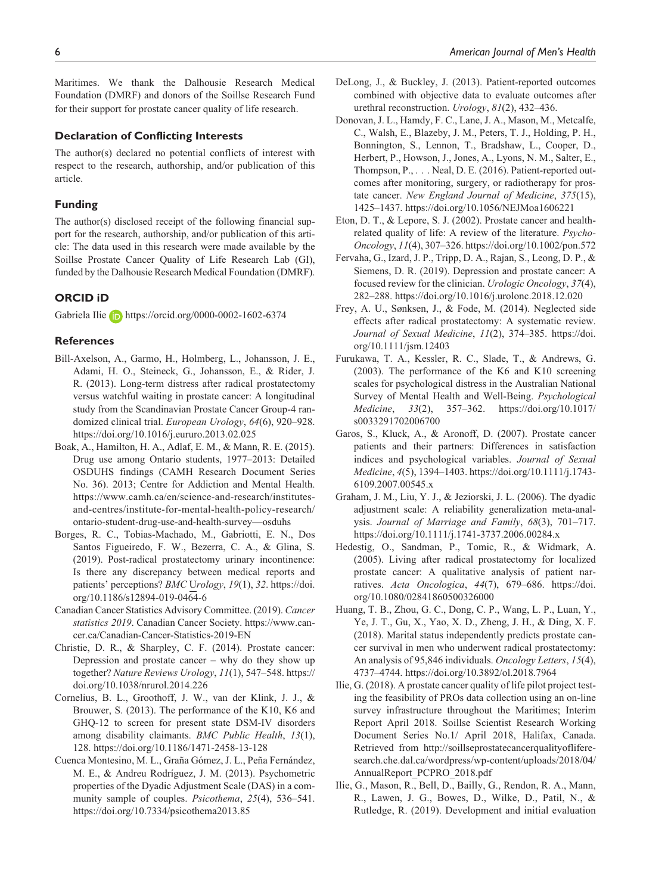Maritimes. We thank the Dalhousie Research Medical Foundation (DMRF) and donors of the Soillse Research Fund for their support for prostate cancer quality of life research.

#### **Declaration of Conflicting Interests**

The author(s) declared no potential conflicts of interest with respect to the research, authorship, and/or publication of this article.

#### **Funding**

The author(s) disclosed receipt of the following financial support for the research, authorship, and/or publication of this article: The data used in this research were made available by the Soillse Prostate Cancer Quality of Life Research Lab (GI), funded by the Dalhousie Research Medical Foundation (DMRF).

#### **ORCID iD**

Gabriela Ilie **iD** <https://orcid.org/0000-0002-1602-6374>

#### **References**

- Bill-Axelson, A., Garmo, H., Holmberg, L., Johansson, J. E., Adami, H. O., Steineck, G., Johansson, E., & Rider, J. R. (2013). Long-term distress after radical prostatectomy versus watchful waiting in prostate cancer: A longitudinal study from the Scandinavian Prostate Cancer Group-4 randomized clinical trial. *European Urology*, *64*(6), 920–928. <https://doi.org/10.1016/j.eururo.2013.02.025>
- Boak, A., Hamilton, H. A., Adlaf, E. M., & Mann, R. E. (2015). Drug use among Ontario students, 1977–2013: Detailed OSDUHS findings (CAMH Research Document Series No. 36). 2013; Centre for Addiction and Mental Health. [https://www.camh.ca/en/science-and-research/institutes](https://www.camh.ca/en/science-and-research/institutes-and-centres/institute-for-mental-health-policy-research/ontario-student-drug-use-and-health-survey)[and-centres/institute-for-mental-health-policy-research/](https://www.camh.ca/en/science-and-research/institutes-and-centres/institute-for-mental-health-policy-research/ontario-student-drug-use-and-health-survey) [ontario-student-drug-use-and-health-survey—](https://www.camh.ca/en/science-and-research/institutes-and-centres/institute-for-mental-health-policy-research/ontario-student-drug-use-and-health-survey)osduhs
- Borges, R. C., Tobias-Machado, M., Gabriotti, E. N., Dos Santos Figueiredo, F. W., Bezerra, C. A., & Glina, S. (2019). Post-radical prostatectomy urinary incontinence: Is there any discrepancy between medical reports and patients' perceptions? *BMC* U*rology*, *19*(1), *32*. [https://doi.](https://doi.org/10.1186/s12894-019-0464-6) [org/10.1186/s12894-019-0464-6](https://doi.org/10.1186/s12894-019-0464-6)
- Canadian Cancer Statistics Advisory Committee. (2019). *Cancer statistics 2019*. Canadian Cancer Society. [https://www.can](https://www.cancer.ca/Canadian-Cancer-Statistics-2019-EN)[cer.ca/Canadian-Cancer-Statistics-2019-EN](https://www.cancer.ca/Canadian-Cancer-Statistics-2019-EN)
- Christie, D. R., & Sharpley, C. F. (2014). Prostate cancer: Depression and prostate cancer – why do they show up together? *Nature Reviews Urology*, *11*(1), 547–548. [https://](https://doi.org/10.1038/nrurol.2014.226) [doi.org/10.1038/nrurol.2014.226](https://doi.org/10.1038/nrurol.2014.226)
- Cornelius, B. L., Groothoff, J. W., van der Klink, J. J., & Brouwer, S. (2013). The performance of the K10, K6 and GHQ-12 to screen for present state DSM-IV disorders among disability claimants. *BMC Public Health*, *13*(1), 128.<https://doi.org/10.1186/1471-2458-13-128>
- Cuenca Montesino, M. L., Graña Gómez, J. L., Peña Fernández, M. E., & Andreu Rodríguez, J. M. (2013). Psychometric properties of the Dyadic Adjustment Scale (DAS) in a community sample of couples. *Psicothema*, *25*(4), 536–541. <https://doi.org/10.7334/psicothema2013.85>
- DeLong, J., & Buckley, J. (2013). Patient-reported outcomes combined with objective data to evaluate outcomes after urethral reconstruction. *Urology*, *81*(2), 432–436.
- Donovan, J. L., Hamdy, F. C., Lane, J. A., Mason, M., Metcalfe, C., Walsh, E., Blazeby, J. M., Peters, T. J., Holding, P. H., Bonnington, S., Lennon, T., Bradshaw, L., Cooper, D., Herbert, P., Howson, J., Jones, A., Lyons, N. M., Salter, E., Thompson, P., . . . Neal, D. E. (2016). Patient-reported outcomes after monitoring, surgery, or radiotherapy for prostate cancer. *New England Journal of Medicine*, *375*(15), 1425–1437.<https://doi.org/10.1056/NEJMoa1606221>
- Eton, D. T., & Lepore, S. J. (2002). Prostate cancer and healthrelated quality of life: A review of the literature. *Psycho-Oncology*, *11*(4), 307–326.<https://doi.org/10.1002/pon.572>
- Fervaha, G., Izard, J. P., Tripp, D. A., Rajan, S., Leong, D. P., & Siemens, D. R. (2019). Depression and prostate cancer: A focused review for the clinician. *Urologic Oncology*, *37*(4), 282–288.<https://doi.org/10.1016/j.urolonc.2018.12.020>
- Frey, A. U., Sønksen, J., & Fode, M. (2014). Neglected side effects after radical prostatectomy: A systematic review. *Journal of Sexual Medicine*, *11*(2), 374–385. [https://doi.](https://doi.org/10.1111/jsm.12403) [org/10.1111/jsm.12403](https://doi.org/10.1111/jsm.12403)
- Furukawa, T. A., Kessler, R. C., Slade, T., & Andrews, G. (2003). The performance of the K6 and K10 screening scales for psychological distress in the Australian National Survey of Mental Health and Well-Being. *Psychological Medicine*, *33*(2), 357–362. [https://doi.org/10.1017/](https://doi.org/10.1017/s0033291702006700) [s0033291702006700](https://doi.org/10.1017/s0033291702006700)
- Garos, S., Kluck, A., & Aronoff, D. (2007). Prostate cancer patients and their partners: Differences in satisfaction indices and psychological variables. *Journal of Sexual Medicine*, *4*(5), 1394–1403. [https://doi.org/10.1111/j.1743-](https://doi.org/10.1111/j.1743-6109.2007.00545.x) [6109.2007.00545.x](https://doi.org/10.1111/j.1743-6109.2007.00545.x)
- Graham, J. M., Liu, Y. J., & Jeziorski, J. L. (2006). The dyadic adjustment scale: A reliability generalization meta-analysis. *Journal of Marriage and Family*, *68*(3), 701–717. <https://doi.org/10.1111/j.1741-3737.2006.00284.x>
- Hedestig, O., Sandman, P., Tomic, R., & Widmark, A. (2005). Living after radical prostatectomy for localized prostate cancer: A qualitative analysis of patient narratives. *Acta Oncologica*, *44*(7), 679–686. [https://doi.](https://doi.org/10.1080/02841860500326000) [org/10.1080/02841860500326000](https://doi.org/10.1080/02841860500326000)
- Huang, T. B., Zhou, G. C., Dong, C. P., Wang, L. P., Luan, Y., Ye, J. T., Gu, X., Yao, X. D., Zheng, J. H., & Ding, X. F. (2018). Marital status independently predicts prostate cancer survival in men who underwent radical prostatectomy: An analysis of 95,846 individuals. *Oncology Letters*, *15*(4), 4737–4744.<https://doi.org/10.3892/ol.2018.7964>
- Ilie, G. (2018). A prostate cancer quality of life pilot project testing the feasibility of PROs data collection using an on-line survey infrastructure throughout the Maritimes; Interim Report April 2018. Soillse Scientist Research Working Document Series No.1/ April 2018, Halifax, Canada. Retrieved from [http://soillseprostatecancerqualityoflifere](http://soillseprostatecancerqualityofliferesearch.che.dal.ca/wordpress/wp-content/uploads/2018/04/AnnualReport_PCPRO_2018.pdf)[search.che.dal.ca/wordpress/wp-content/uploads/2018/04/](http://soillseprostatecancerqualityofliferesearch.che.dal.ca/wordpress/wp-content/uploads/2018/04/AnnualReport_PCPRO_2018.pdf) [AnnualReport\\_PCPRO\\_2018.pdf](http://soillseprostatecancerqualityofliferesearch.che.dal.ca/wordpress/wp-content/uploads/2018/04/AnnualReport_PCPRO_2018.pdf)
- Ilie, G., Mason, R., Bell, D., Bailly, G., Rendon, R. A., Mann, R., Lawen, J. G., Bowes, D., Wilke, D., Patil, N., & Rutledge, R. (2019). Development and initial evaluation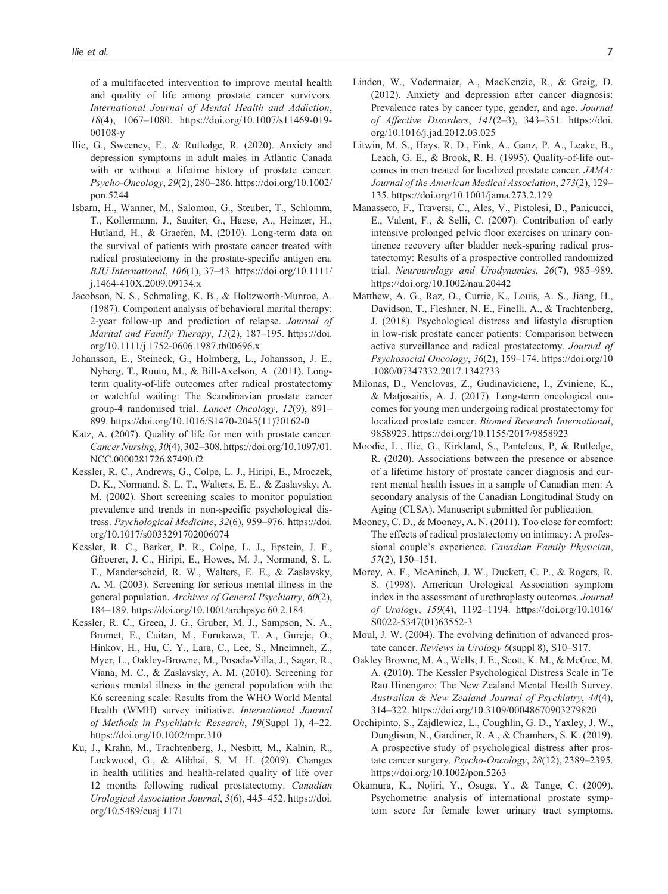of a multifaceted intervention to improve mental health and quality of life among prostate cancer survivors. *International Journal of Mental Health and Addiction*, *18*(4), 1067–1080. [https://doi.org/10.1007/s11469-019-](https://doi.org/10.1007/s11469-019-00108-y) [00108-y](https://doi.org/10.1007/s11469-019-00108-y)

- Ilie, G., Sweeney, E., & Rutledge, R. (2020). Anxiety and depression symptoms in adult males in Atlantic Canada with or without a lifetime history of prostate cancer. *Psycho-Oncology*, *29*(2), 280–286. [https://doi.org/10.1002/](https://doi.org/10.1002/pon.5244) [pon.5244](https://doi.org/10.1002/pon.5244)
- Isbarn, H., Wanner, M., Salomon, G., Steuber, T., Schlomm, T., Kollermann, J., Sauiter, G., Haese, A., Heinzer, H., Hutland, H., & Graefen, M. (2010). Long-term data on the survival of patients with prostate cancer treated with radical prostatectomy in the prostate-specific antigen era. *BJU International*, *106*(1), 37–43. [https://doi.org/10.1111/](https://doi.org/10.1111/j.1464-410X.2009.09134.x) [j.1464-410X.2009.09134.x](https://doi.org/10.1111/j.1464-410X.2009.09134.x)
- Jacobson, N. S., Schmaling, K. B., & Holtzworth-Munroe, A. (1987). Component analysis of behavioral marital therapy: 2-year follow-up and prediction of relapse. *Journal of Marital and Family Therapy*, *13*(2), 187–195. [https://doi.](https://doi.org/10.1111/j.1752-0606.1987.tb00696.x) [org/10.1111/j.1752-0606.1987.tb00696.x](https://doi.org/10.1111/j.1752-0606.1987.tb00696.x)
- Johansson, E., Steineck, G., Holmberg, L., Johansson, J. E., Nyberg, T., Ruutu, M., & Bill-Axelson, A. (2011). Longterm quality-of-life outcomes after radical prostatectomy or watchful waiting: The Scandinavian prostate cancer group-4 randomised trial. *Lancet Oncology*, *12*(9), 891– 899. [https://doi.org/10.1016/S1470-2045\(11\)70162-0](https://doi.org/10.1016/S1470-2045(11)70162-0)
- Katz, A. (2007). Quality of life for men with prostate cancer. *Cancer Nursing*, *30*(4), 302–308. [https://doi.org/10.1097/01.](https://doi.org/10.1097/01.NCC.0000281726.87490.f2) [NCC.0000281726.87490.f2](https://doi.org/10.1097/01.NCC.0000281726.87490.f2)
- Kessler, R. C., Andrews, G., Colpe, L. J., Hiripi, E., Mroczek, D. K., Normand, S. L. T., Walters, E. E., & Zaslavsky, A. M. (2002). Short screening scales to monitor population prevalence and trends in non-specific psychological distress. *Psychological Medicine*, *32*(6), 959–976. [https://doi.](https://doi.org/10.1017/s0033291702006074) [org/10.1017/s0033291702006074](https://doi.org/10.1017/s0033291702006074)
- Kessler, R. C., Barker, P. R., Colpe, L. J., Epstein, J. F., Gfroerer, J. C., Hiripi, E., Howes, M. J., Normand, S. L. T., Manderscheid, R. W., Walters, E. E., & Zaslavsky, A. M. (2003). Screening for serious mental illness in the general population. *Archives of General Psychiatry*, *60*(2), 184–189.<https://doi.org/10.1001/archpsyc.60.2.184>
- Kessler, R. C., Green, J. G., Gruber, M. J., Sampson, N. A., Bromet, E., Cuitan, M., Furukawa, T. A., Gureje, O., Hinkov, H., Hu, C. Y., Lara, C., Lee, S., Mneimneh, Z., Myer, L., Oakley-Browne, M., Posada-Villa, J., Sagar, R., Viana, M. C., & Zaslavsky, A. M. (2010). Screening for serious mental illness in the general population with the K6 screening scale: Results from the WHO World Mental Health (WMH) survey initiative. *International Journal of Methods in Psychiatric Research*, *19*(Suppl 1), 4–22. <https://doi.org/10.1002/mpr.310>
- Ku, J., Krahn, M., Trachtenberg, J., Nesbitt, M., Kalnin, R., Lockwood, G., & Alibhai, S. M. H. (2009). Changes in health utilities and health-related quality of life over 12 months following radical prostatectomy. *Canadian Urological Association Journal*, *3*(6), 445–452. [https://doi.](https://doi.org/10.5489/cuaj.1171) [org/10.5489/cuaj.1171](https://doi.org/10.5489/cuaj.1171)
- Linden, W., Vodermaier, A., MacKenzie, R., & Greig, D. (2012). Anxiety and depression after cancer diagnosis: Prevalence rates by cancer type, gender, and age. *Journal of Affective Disorders*, *141*(2–3), 343–351. [https://doi.](https://doi.org/10.1016/j.jad.2012.03.025) [org/10.1016/j.jad.2012.03.025](https://doi.org/10.1016/j.jad.2012.03.025)
- Litwin, M. S., Hays, R. D., Fink, A., Ganz, P. A., Leake, B., Leach, G. E., & Brook, R. H. (1995). Quality-of-life outcomes in men treated for localized prostate cancer. *JAMA: Journal of the American Medical Association*, *273*(2), 129– 135.<https://doi.org/10.1001/jama.273.2.129>
- Manassero, F., Traversi, C., Ales, V., Pistolesi, D., Panicucci, E., Valent, F., & Selli, C. (2007). Contribution of early intensive prolonged pelvic floor exercises on urinary continence recovery after bladder neck-sparing radical prostatectomy: Results of a prospective controlled randomized trial. *Neurourology and Urodynamics*, *26*(7), 985–989. <https://doi.org/10.1002/nau.20442>
- Matthew, A. G., Raz, O., Currie, K., Louis, A. S., Jiang, H., Davidson, T., Fleshner, N. E., Finelli, A., & Trachtenberg, J. (2018). Psychological distress and lifestyle disruption in low-risk prostate cancer patients: Comparison between active surveillance and radical prostatectomy. *Journal of Psychosocial Oncology*, *36*(2), 159–174. [https://doi.org/10](https://doi.org/10.1080/07347332.2017.1342733) [.1080/07347332.2017.1342733](https://doi.org/10.1080/07347332.2017.1342733)
- Milonas, D., Venclovas, Z., Gudinaviciene, I., Zviniene, K., & Matjosaitis, A. J. (2017). Long-term oncological outcomes for young men undergoing radical prostatectomy for localized prostate cancer. *Biomed Research International*, 9858923.<https://doi.org/10.1155/2017/9858923>
- Moodie, L., Ilie, G., Kirkland, S., Panteleus, P, & Rutledge, R. (2020). Associations between the presence or absence of a lifetime history of prostate cancer diagnosis and current mental health issues in a sample of Canadian men: A secondary analysis of the Canadian Longitudinal Study on Aging (CLSA). Manuscript submitted for publication.
- Mooney, C. D., & Mooney, A. N. (2011). Too close for comfort: The effects of radical prostatectomy on intimacy: A professional couple's experience. *Canadian Family Physician*, *57*(2), 150–151.
- Morey, A. F., McAninch, J. W., Duckett, C. P., & Rogers, R. S. (1998). American Urological Association symptom index in the assessment of urethroplasty outcomes. *Journal of Urology*, *159*(4), 1192–1194. [https://doi.org/10.1016/](https://doi.org/10.1016/S0022-5347(01)63552-3) [S0022-5347\(01\)63552-3](https://doi.org/10.1016/S0022-5347(01)63552-3)
- Moul, J. W. (2004). The evolving definition of advanced prostate cancer. *Reviews in Urology 6*(suppl 8), S10–S17.
- Oakley Browne, M. A., Wells, J. E., Scott, K. M., & McGee, M. A. (2010). The Kessler Psychological Distress Scale in Te Rau Hinengaro: The New Zealand Mental Health Survey. *Australian & New Zealand Journal of Psychiatry*, *44*(4), 314–322.<https://doi.org/10.3109/00048670903279820>
- Occhipinto, S., Zajdlewicz, L., Coughlin, G. D., Yaxley, J. W., Dunglison, N., Gardiner, R. A., & Chambers, S. K. (2019). A prospective study of psychological distress after prostate cancer surgery. *Psycho-Oncology*, *28*(12), 2389–2395. <https://doi.org/10.1002/pon.5263>
- Okamura, K., Nojiri, Y., Osuga, Y., & Tange, C. (2009). Psychometric analysis of international prostate symptom score for female lower urinary tract symptoms.